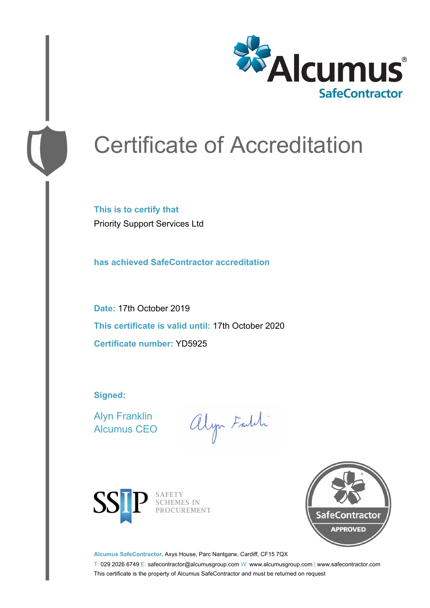

# Certificate of Accreditation

**This is to certify that** Priority Support Services Ltd

**has achieved SafeContractor accreditation**

**Date:** 17th October 2019 **This certificate is valid until:** 17th October 2020 **Certificate number:** YD5925

**Signed:**

Alyn Franklin Alcumus CEO

alyn Faith



SAFETY<br>SCHEMES IN PROCUREMENT



**Alcumus SafeContractor,** Axys House, Parc Nantgarw, Cardiff, CF15 7QX

T: 029 2026 6749 E: safecontractor@alcumusgroup.com W: www.alcumusgroup.com | www.safecontractor.com This certificate is the property of Alcumus SafeContractor and must be returned on request